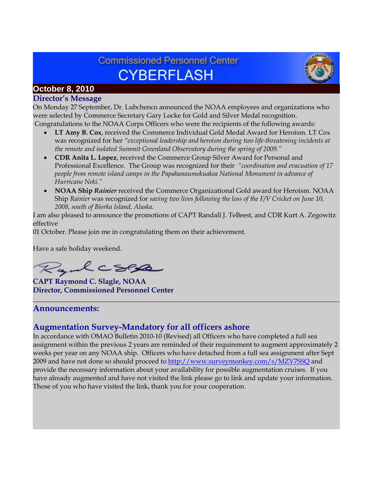# **Commissioned Personnel Center CYBERFLASH**



# **October 8, 2010**

### **Director's Message**

On Monday 27 September, Dr. Lubchenco announced the NOAA employees and organizations who were selected by Commerce Secretary Gary Locke for Gold and Silver Medal recognition. Congratulations to the NOAA Corps Officers who were the recipients of the following awards:

- **LT Amy B. Cox**, received the Commerce Individual Gold Medal Award for Heroism. LT Cox was recognized for her *"exceptional leadership and heroism during two life-threatening incidents at the remote and isolated Summit Greenland Observatory during the spring of 2009."*
- **CDR Anita L. Lopez**, received the Commerce Group Silver Award for Personal and Professional Excellence. The Group was recognized for their *"coordination and evacuation of 17 people from remote island camps in the Papahanaumokuakea National Monument in advance of Hurricane Neki."*
- **NOAA Ship** *Rainier* received the Commerce Organizational Gold award for Heroism. NOAA Ship *Rainier* was recognized for *saving two lives following the loss of the F/V Cricket on June 10, 2008, south of Biorka Island, Alaska.*

I am also pleased to announce the promotions of CAPT Randall J. TeBeest, and CDR Kurt A. Zegowitz effective

01 October. Please join me in congratulating them on their achievement.

Have a safe holiday weekend.

Rydcsep

**CAPT Raymond C. Slagle, NOAA Director, Commissioned Personnel Center**

## **Announcements:**

## **Augmentation Survey-Mandatory for all officers ashore**

In accordance with OMAO Bulletin 2010-10 (Revised) all Officers who have completed a full sea assignment within the previous 2 years are reminded of their requirement to augment approximately 2 weeks per year on any NOAA ship. Officers who have detached from a full sea assignment after Sept 2009 and have not done so should proceed to<http://www.surveymonkey.com/s/MZV7SSQ> and provide the necessary information about your availability for possible augmentation cruises. If you have already augmented and have not visited the link please go to link and update your information. Those of you who have visited the link, thank you for your cooperation.

**\_\_\_\_\_\_\_\_\_\_\_\_\_\_\_\_\_\_\_\_\_\_\_\_\_\_\_\_\_\_\_\_\_\_\_\_\_\_\_\_\_\_\_\_\_\_\_\_\_\_\_\_\_\_\_\_\_\_\_\_\_\_\_\_\_\_\_\_\_\_\_\_\_\_\_\_\_\_\_\_\_\_\_\_**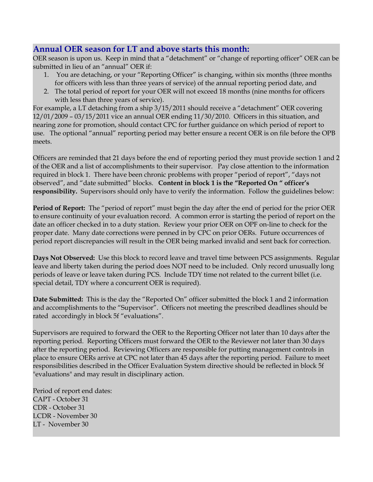### **Annual OER season for LT and above starts this month:**

OER season is upon us. Keep in mind that a "detachment" or "change of reporting officer" OER can be submitted in lieu of an "annual" OER if:

- 1. You are detaching, or your "Reporting Officer" is changing, within six months (three months for officers with less than three years of service) of the annual reporting period date, and
- 2. The total period of report for your OER will not exceed 18 months (nine months for officers with less than three years of service).

For example, a LT detaching from a ship 3/15/2011 should receive a "detachment" OER covering 12/01/2009 – 03/15/2011 vice an annual OER ending 11/30/2010. Officers in this situation, and nearing zone for promotion, should contact CPC for further guidance on which period of report to use. The optional "annual" reporting period may better ensure a recent OER is on file before the OPB meets.

Officers are reminded that 21 days before the end of reporting period they must provide section 1 and 2 of the OER and a list of accomplishments to their supervisor. Pay close attention to the information required in block 1. There have been chronic problems with proper "period of report", "days not observed", and "date submitted" blocks. **Content in block 1 is the "Reported On " officer's responsibility.** Supervisors should only have to verify the information. Follow the guidelines below:

**Period of Report:** The "period of report" must begin the day after the end of period for the prior OER to ensure continuity of your evaluation record. A common error is starting the period of report on the date an officer checked in to a duty station. Review your prior OER on OPF on-line to check for the proper date. Many date corrections were penned in by CPC on prior OERs. Future occurrences of period report discrepancies will result in the OER being marked invalid and sent back for correction.

**Days Not Observed:** Use this block to record leave and travel time between PCS assignments. Regular leave and liberty taken during the period does NOT need to be included. Only record unusually long periods of leave or leave taken during PCS. Include TDY time not related to the current billet (i.e. special detail, TDY where a concurrent OER is required).

**Date Submitted:** This is the day the "Reported On" officer submitted the block 1 and 2 information and accomplishments to the "Supervisor". Officers not meeting the prescribed deadlines should be rated accordingly in block 5f "evaluations".

Supervisors are required to forward the OER to the Reporting Officer not later than 10 days after the reporting period. Reporting Officers must forward the OER to the Reviewer not later than 30 days after the reporting period. Reviewing Officers are responsible for putting management controls in place to ensure OERs arrive at CPC not later than 45 days after the reporting period. Failure to meet responsibilities described in the Officer Evaluation System directive should be reflected in block 5f "evaluations" and may result in disciplinary action.

Period of report end dates: CAPT - October 31 CDR - October 31 LCDR - November 30 LT - November 30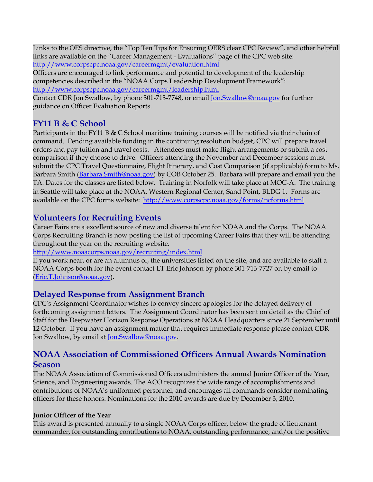Links to the OES directive, the "Top Ten Tips for Ensuring OERS clear CPC Review", and other helpful links are available on the "Career Management - Evaluations" page of the CPC web site: <http://www.corpscpc.noaa.gov/careermgmt/evaluation.html>

Officers are encouraged to link performance and potential to development of the leadership competencies described in the "NOAA Corps Leadership Development Framework": <http://www.corpscpc.noaa.gov/careermgmt/leadership.html>

Contact CDR Jon Swallow, by phone 301-713-7748, or email [Jon.Swallow@noaa.gov](mailto:Jon.Swallow@noaa.gov) for further guidance on Officer Evaluation Reports.

# **FY11 B & C School**

Participants in the FY11 B  $\&$  C School maritime training courses will be notified via their chain of command. Pending available funding in the continuing resolution budget, CPC will prepare travel orders and pay tuition and travel costs. Attendees must make flight arrangements or submit a cost comparison if they choose to drive. Officers attending the November and December sessions must submit the CPC Travel Questionnaire, Flight Itinerary, and Cost Comparison (if applicable) form to Ms. Barbara Smith [\(Barbara.Smith@noaa.gov\)](mailto:Barbara.Smith@noaa.gov) by COB October 25. Barbara will prepare and email you the TA. Dates for the classes are listed below. Training in Norfolk will take place at MOC-A. The training in Seattle will take place at the NOAA, Western Regional Center, Sand Point, BLDG 1. Forms are available on the CPC forms website: <http://www.corpscpc.noaa.gov/forms/ncforms.html>

# **Volunteers for Recruiting Events**

Career Fairs are a excellent source of new and diverse talent for NOAA and the Corps. The NOAA Corps Recruiting Branch is now posting the list of upcoming Career Fairs that they will be attending throughout the year on the recruiting website.

#### <http://www.noaacorps.noaa.gov/recruiting/index.html>

If you work near, or are an alumnus of, the universities listed on the site, and are available to staff a NOAA Corps booth for the event contact LT Eric Johnson by phone 301-713-7727 or, by email to [\(Eric.T.Johnson@noaa.gov\)](mailto:Eric.T.Johnson@noaa.gov).

# **Delayed Response from Assignment Branch**

CPC's Assignment Coordinator wishes to convey sincere apologies for the delayed delivery of forthcoming assignment letters. The Assignment Coordinator has been sent on detail as the Chief of Staff for the Deepwater Horizon Response Operations at NOAA Headquarters since 21 September until 12 October. If you have an assignment matter that requires immediate response please contact CDR Jon Swallow, by email at <u>Jon.Swallow@noaa.gov</u>.

# **NOAA Association of Commissioned Officers Annual Awards Nomination Season**

The NOAA Association of Commissioned Officers administers the annual Junior Officer of the Year, Science, and Engineering awards. The ACO recognizes the wide range of accomplishments and contributions of NOAA's uniformed personnel, and encourages all commands consider nominating officers for these honors. Nominations for the 2010 awards are due by December 3, 2010.

### **Junior Officer of the Year**

This award is presented annually to a single NOAA Corps officer, below the grade of lieutenant commander, for outstanding contributions to NOAA, outstanding performance, and/or the positive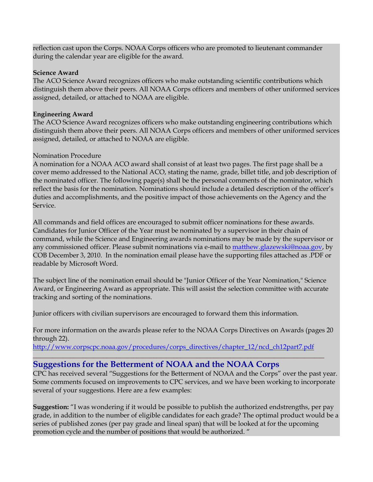reflection cast upon the Corps. NOAA Corps officers who are promoted to lieutenant commander during the calendar year are eligible for the award.

#### **Science Award**

The ACO Science Award recognizes officers who make outstanding scientific contributions which distinguish them above their peers. All NOAA Corps officers and members of other uniformed services assigned, detailed, or attached to NOAA are eligible.

#### **Engineering Award**

The ACO Science Award recognizes officers who make outstanding engineering contributions which distinguish them above their peers. All NOAA Corps officers and members of other uniformed services assigned, detailed, or attached to NOAA are eligible.

#### Nomination Procedure

A nomination for a NOAA ACO award shall consist of at least two pages. The first page shall be a cover memo addressed to the National ACO, stating the name, grade, billet title, and job description of the nominated officer. The following page(s) shall be the personal comments of the nominator, which reflect the basis for the nomination. Nominations should include a detailed description of the officer's duties and accomplishments, and the positive impact of those achievements on the Agency and the Service.

All commands and field offices are encouraged to submit officer nominations for these awards. Candidates for Junior Officer of the Year must be nominated by a supervisor in their chain of command, while the Science and Engineering awards nominations may be made by the supervisor or any commissioned officer. Please submit nominations via e-mail to [matthew.glazewski@noaa.gov,](mailto:matthew.glazewski@noaa.gov) by COB December 3, 2010. In the nomination email please have the supporting files attached as .PDF or readable by Microsoft Word.

The subject line of the nomination email should be "Junior Officer of the Year Nomination," Science Award, or Engineering Award as appropriate. This will assist the selection committee with accurate tracking and sorting of the nominations.

Junior officers with civilian supervisors are encouraged to forward them this information.

For more information on the awards please refer to the NOAA Corps Directives on Awards (pages 20 through 22).

[http://www.corpscpc.noaa.gov/procedures/corps\\_directives/chapter\\_12/ncd\\_ch12part7.pdf](http://www.corpscpc.noaa.gov/procedures/corps_directives/chapter_12/ncd_ch12part7.pdf)

**\_\_\_\_\_\_\_\_\_\_\_\_\_\_\_\_\_\_\_\_\_\_\_\_\_\_\_\_\_\_\_\_\_\_\_\_\_\_\_\_\_\_\_\_\_\_\_\_\_\_\_\_\_\_\_\_\_\_\_\_\_\_\_\_\_\_\_\_\_\_\_\_\_\_\_\_\_\_\_\_\_\_\_\_\_\_\_**

## **Suggestions for the Betterment of NOAA and the NOAA Corps**

CPC has received several "Suggestions for the Betterment of NOAA and the Corps" over the past year. Some comments focused on improvements to CPC services, and we have been working to incorporate several of your suggestions. Here are a few examples:

**Suggestion:** "I was wondering if it would be possible to publish the authorized endstrengths, per pay grade, in addition to the number of eligible candidates for each grade? The optimal product would be a series of published zones (per pay grade and lineal span) that will be looked at for the upcoming promotion cycle and the number of positions that would be authorized. "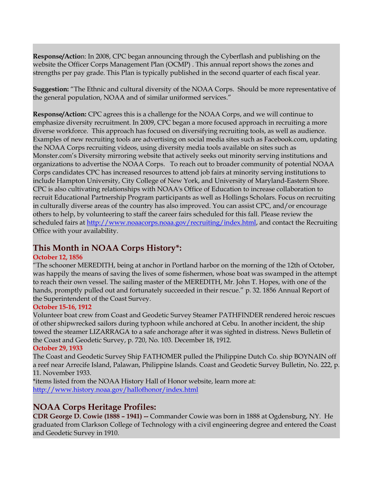**Response/Actio**n: In 2008, CPC began announcing through the Cyberflash and publishing on the website the Officer Corps Management Plan (OCMP) . This annual report shows the zones and strengths per pay grade. This Plan is typically published in the second quarter of each fiscal year.

**Suggestion:** "The Ethnic and cultural diversity of the NOAA Corps. Should be more representative of the general population, NOAA and of similar uniformed services."

**Response/Action:** CPC agrees this is a challenge for the NOAA Corps, and we will continue to emphasize diversity recruitment. In 2009, CPC began a more focused approach in recruiting a more diverse workforce. This approach has focused on diversifying recruiting tools, as well as audience. Examples of new recruiting tools are advertising on social media sites such as Facebook.com, updating the NOAA Corps recruiting videos, using diversity media tools available on sites such as Monster.com's Diversity mirroring website that actively seeks out minority serving institutions and organizations to advertise the NOAA Corps. To reach out to broader community of potential NOAA Corps candidates CPC has increased resources to attend job fairs at minority serving institutions to include Hampton University, City College of New York, and University of Maryland-Eastern Shore. CPC is also cultivating relationships with NOAA's Office of Education to increase collaboration to recruit Educational Partnership Program participants as well as Hollings Scholars. Focus on recruiting in culturally diverse areas of the country has also improved. You can assist CPC, and/or encourage others to help, by volunteering to staff the career fairs scheduled for this fall. Please review the scheduled fairs at [http://www.noaacorps.noaa.gov/recruiting/index.html,](http://www.noaacorps.noaa.gov/recruiting/index.html) and contact the Recruiting Office with your availability.

# **This Month in NOAA Corps History\*:**

#### **October 12, 1856**

"The schooner MEREDITH, being at anchor in Portland harbor on the morning of the 12th of October, was happily the means of saving the lives of some fishermen, whose boat was swamped in the attempt to reach their own vessel. The sailing master of the MEREDITH, Mr. John T. Hopes, with one of the hands, promptly pulled out and fortunately succeeded in their rescue." p. 32. 1856 Annual Report of the Superintendent of the Coast Survey.

#### **October 15-16, 1912**

Volunteer boat crew from Coast and Geodetic Survey Steamer PATHFINDER rendered heroic rescues of other shipwrecked sailors during typhoon while anchored at Cebu. In another incident, the ship towed the steamer LIZARRAGA to a safe anchorage after it was sighted in distress. News Bulletin of the Coast and Geodetic Survey, p. 720, No. 103. December 18, 1912.

#### **October 29, 1933**

The Coast and Geodetic Survey Ship FATHOMER pulled the Philippine Dutch Co. ship BOYNAIN off a reef near Arrecife Island, Palawan, Philippine Islands. Coast and Geodetic Survey Bulletin, No. 222, p. 11. November 1933.

\*items listed from the NOAA History Hall of Honor website, learn more at: <http://www.history.noaa.gov/hallofhonor/index.html>

## **NOAA Corps Heritage Profiles:**

**CDR George D. Cowie (1888 – 1941) --** Commander Cowie was born in 1888 at Ogdensburg, NY. He graduated from Clarkson College of Technology with a civil engineering degree and entered the Coast and Geodetic Survey in 1910.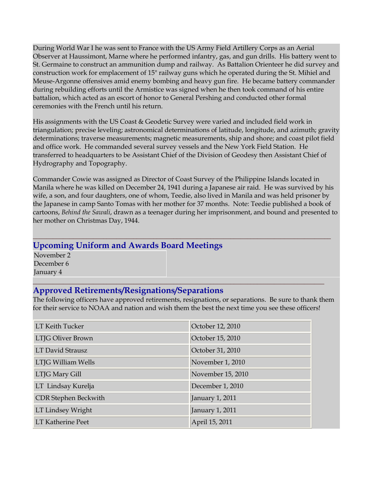During World War I he was sent to France with the US Army Field Artillery Corps as an Aerial Observer at Haussimont, Marne where he performed infantry, gas, and gun drills. His battery went to St. Germaine to construct an ammunition dump and railway. As Battalion Orienteer he did survey and construction work for emplacement of 15" railway guns which he operated during the St. Mihiel and Meuse-Argonne offensives amid enemy bombing and heavy gun fire. He became battery commander during rebuilding efforts until the Armistice was signed when he then took command of his entire battalion, which acted as an escort of honor to General Pershing and conducted other formal ceremonies with the French until his return.

His assignments with the US Coast & Geodetic Survey were varied and included field work in triangulation; precise leveling; astronomical determinations of latitude, longitude, and azimuth; gravity determinations; traverse measurements; magnetic measurements, ship and shore; and coast pilot field and office work. He commanded several survey vessels and the New York Field Station. He transferred to headquarters to be Assistant Chief of the Division of Geodesy then Assistant Chief of Hydrography and Topography.

Commander Cowie was assigned as Director of Coast Survey of the Philippine Islands located in Manila where he was killed on December 24, 1941 during a Japanese air raid. He was survived by his wife, a son, and four daughters, one of whom, Teedie, also lived in Manila and was held prisoner by the Japanese in camp Santo Tomas with her mother for 37 months. Note: Teedie published a book of cartoons, *Behind the Sawali*, drawn as a teenager during her imprisonment, and bound and presented to her mother on Christmas Day, 1944.

**\_\_\_\_\_\_\_\_\_\_\_\_\_\_\_\_\_\_\_\_\_\_\_\_\_\_\_\_\_\_\_\_\_\_\_\_\_\_\_\_\_\_\_\_\_\_\_\_\_\_\_\_\_\_\_\_\_\_\_\_\_\_\_\_\_\_\_\_\_\_\_\_\_\_\_\_\_\_\_\_\_\_\_\_\_\_\_\_\_**

## **Upcoming Uniform and Awards Board Meetings**

November 2 December 6 January 4

## **Approved Retirements/Resignations/Separations**

The following officers have approved retirements, resignations, or separations. Be sure to thank them for their service to NOAA and nation and wish them the best the next time you see these officers!

**\_\_\_\_\_\_\_\_\_\_\_\_\_\_\_\_\_\_\_\_\_\_\_\_\_\_\_\_\_\_\_\_\_\_\_\_\_\_\_\_\_\_\_\_\_\_\_\_\_\_\_\_\_\_\_\_\_\_\_\_\_\_\_\_\_\_\_\_\_\_\_\_\_\_\_\_\_\_\_\_\_\_\_\_\_\_\_**

| LT Keith Tucker          | October 12, 2010  |
|--------------------------|-------------------|
| LTJG Oliver Brown        | October 15, 2010  |
| LT David Strausz         | October 31, 2010  |
| LTJG William Wells       | November 1, 2010  |
| LTJG Mary Gill           | November 15, 2010 |
| LT Lindsay Kurelja       | December 1, 2010  |
| CDR Stephen Beckwith     | January 1, 2011   |
| LT Lindsey Wright        | January 1, 2011   |
| <b>LT Katherine Peet</b> | April 15, 2011    |